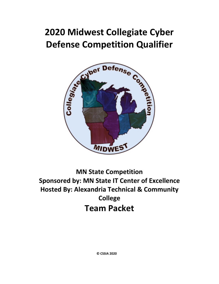# **2020 Midwest Collegiate Cyber Defense Competition Qualifier**



**MN State Competition Sponsored by: MN State IT Center of Excellence Hosted By: Alexandria Technical & Community College Team Packet**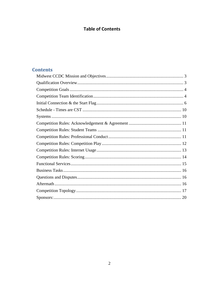## **Table of Contents**

### **Contents**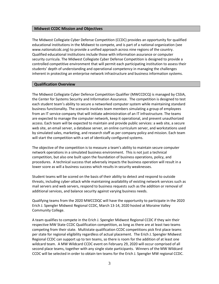#### <span id="page-2-0"></span>**Midwest CCDC Mission and Objectives**

The Midwest Collegiate Cyber Defense Competition (CCDC) provides an opportunity for qualified educational institutions in the Midwest to compete, and is part of a national organization (see www.nationalccdc.org) to provide a unified approach across nine regions of the country. Qualified educational institutions include those with information assurance or computer security curricula. The Midwest Collegiate Cyber Defense Competition is designed to provide a controlled competitive environment that will permit each participating institution to assess their students' depth of understanding and operational competency in managing the challenges inherent in protecting an enterprise network infrastructure and business information systems.

#### <span id="page-2-1"></span>**Qualification Overview**

The Midwest Collegiate Cyber Defence Competition Qualifier (MWCCDCQ) is managed by CSSIA, the Center for Systems Security and Information Assurance. The competition is designed to test each student team's ability to secure a networked computer system while maintaining standard business functionality. The scenario involves team members simulating a group of employees from an IT service company that will initiate administration of an IT infrastructure. The teams are expected to manage the computer network, keep it operational, and prevent unauthorized access. Each team will be expected to maintain and provide public services: a web site, a secure web site, an email server, a database server, an online curriculum server, and workstations used by simulated sales, marketing, and research staff as per company policy and mission. Each team will start the competition with a set of identically configured systems.

The objective of the competition is to measure a team's ability to maintain secure computer network operations in a simulated business environment. This is not just a technical competition, but also one built upon the foundation of business operations, policy, and procedures. A technical success that adversely impacts the business operation will result in a lower score as will a business success which results in security weaknesses.

Student teams will be scored on the basis of their ability to detect and respond to outside threats, including cyber-attack while maintaining availability of existing network services such as mail servers and web servers, respond to business requests such as the addition or removal of additional services, and balance security against varying business needs.

Qualifying teams from the 2020 MWCCDQC will have the opportunity to participate in the 2020 Erich J. Spengler Midwest Regional CCDC, March 13-14, 2020 hosted at Moraine Valley Community College.

A team qualifies to compete in the Erich J. Spengler Midwest Regional CCDC if they win their respective MW State CCDC Qualification competition, as long as there are at least two teams competing from their state. Multistate qualification CCDC competitions pick first place teams per state for regional eligibility regardless of actual placement. The Erich J. Spengler Midwest Regional CCDC can support up to ten teams, so there is room for the addition of at least one wildcard team. A MW Wildcard CCDC event on February 29, 2020 will occur comprised of all second place teams, together with any single state participants. Winners of the MW Wildcard CCDC will be selected in order to obtain ten teams for the Erich J. Spengler MW regional CCDC.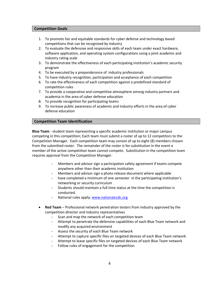#### <span id="page-3-0"></span>**Competition Goals**

- 1. To promote fair and equitable standards for cyber defense and technology based competitions that can be recognized by industry
- 2. To evaluate the defensive and responsive skills of each team under exact hardware, software application, and operating system configurations using a joint academic and industry rating scale
- 3. To demonstrate the effectiveness of each participating institution's academic security program
- 4. To be executed by a preponderance of industry professionals
- 5. To have industry recognition, participation and acceptance of each competition
- 6. To rate the effectiveness of each competition against a predefined standard of competition rules
- 7. To provide a cooperative and competitive atmosphere among industry partners and academia in the area of cyber defense education
- 8. To provide recognition for participating teams
- 9. To increase public awareness of academic and industry efforts in the area of cyber defense education

#### <span id="page-3-1"></span>**Competition Team Identification**

**Blue Team** - student team representing a specific academic institution or major campus competing in this competition; Each team must submit a roster of up to 12 competitors to the Competition Manager. Each competition team may consist of up to eight (8) members chosen from the submitted roster. The remainder of the roster is for substitution in the event a member of the active competition team cannot compete. Substitution in the competition team requires approval from the Competition Manager.

- Members and advisor sign a participation safety agreement if teams compete anywhere other than their academic institution
- Members and advisor sign a photo release document where applicable
- have completed a minimum of one semester in the participating institution's networking or security curriculum
- Students should maintain a full time status at the time the competition is conducted.
- National rules apply[; www.nationalccdc.org](http://www.nationalccdc.org/)
- **Red Team** Professional network penetration testers from industry approved by the competition director and industry representatives
	- Scan and map the network of each competition team
	- Attempt to penetrate the defensive capabilities of each Blue Team network and modify any acquired environment
	- Assess the security of each Blue Team network
	- Attempt to capture specific files on targeted devices of each Blue Team network
	- Attempt to leave specific files on targeted devices of each Blue Team network
	- Follow rules of engagement for the competition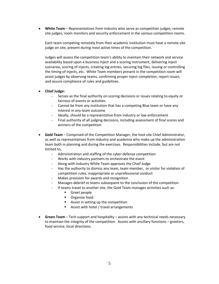• **White Team** – Representatives from industry who serve as competition judges, remote site judges, room monitors and security enforcement in the various competition rooms.

Each team competing remotely from their academic institution must have a remote site judge on site, present during most active times of the competition.

Judges will assess the competition team's ability to maintain their network and service availability based upon a business inject and a scoring instrument, delivering inject scenarios, scoring of injects, creating log entries, securing log files, issuing or controlling the timing of injects, etc. White Team members present in the competition room will assist judges by observing teams, confirming proper inject completion, report issues, and assure compliance of rules and guidelines.

- **Chief Judge:**
	- Serves as the final authority on scoring decisions or issues relating to equity or fairness of events or activities
	- Cannot be from any institution that has a competing Blue team or have any interest in any team outcome
	- Ideally, should be a representative from industry or law enforcement
	- Final authority of all judging decisions, including assessment of final scores and winners of the competition
- **Gold Team** Comprised of the Competition Manager, the host site Chief Administrator, as well as representatives from industry and academia who make up the administration team both in planning and during the exercises. Responsibilities include, but are not limited to,
	- Administration and staffing of the cyber defense competition
	- Works with industry partners to orchestrate the event
	- Along with Industry White Team approves the Chief Judge
	- Has the authority to dismiss any team, team member, or visitor for violation of competition rules, inappropriate or unprofessional conduct
	- Makes provision for awards and recognition
	- Manages debrief to teams subsequent to the conclusion of the competition
	- If teams travel to another site, the Gold Team manages activities such as:
		- **Greet people**
		- **•** Organize food
		- Assist in setting up the competition
		- **Assist with hotel / travel arrangements**
- **Green Team**  Tech support and hospitality assists with any technical needs necessary to maintain the integrity of the competition. Assists with ancillary functions – greeters, food service, local directions.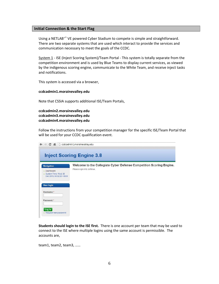#### <span id="page-5-0"></span>**Initial Connection & the Start Flag**

Using a NETLAB+™ VE powered Cyber Stadium to compete is simple and straightforward. There are two separate systems that are used which interact to provide the services and communication necessary to meet the goals of the CCDC.

System 1 - ISE (Inject Scoring System)/Team Portal - This system is totally separate from the competition environment and is used by Blue Teams to display current services, as viewed by the indigenous scoring engine, communicate to the White Team, and receive inject tasks and notifications.

This system is accessed via a browser,

#### **ccdcadmin1.morainevalley.edu**

Note that CSSIA supports additional ISE/Team Portals,

**ccdcadmin2.morainevalley.edu ccdcadmin3.morainevalley.edu ccdcadmin4.morainevalley.edu**

Follow the instructions from your competition manager for the specific ISE/Team Portal that will be used for your CCDC qualification event.

| $\leftarrow$ $\rightarrow$ C                                                          | ← ccdcadmin1.morainevalley.edu                                                                     |
|---------------------------------------------------------------------------------------|----------------------------------------------------------------------------------------------------|
|                                                                                       | <b>Inject Scoring Engine 3.8</b>                                                                   |
| <b>Navigation</b><br>• Dashboard<br>· System Time: Wed, 05<br>Dec 2012 04:02:20 +0000 | Welcome to the Collegiate Cyber Defense Competition Scoring Engine.<br>Please sign in to continue. |
| <b>User login</b><br>Username: *                                                      |                                                                                                    |
| Password:*<br>Log in<br>• Request new password                                        |                                                                                                    |

**Students should login to the ISE first.** There is one account per team that may be used to connect to the ISE where multiple logins using the same account is permissible. The accounts are,

team1, team2, team3, ……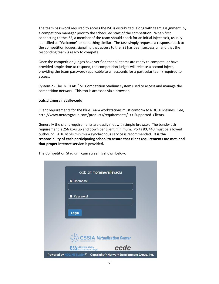The team password required to access the ISE is distributed, along with team assignment, by a competition manager prior to the scheduled start of the competition. When first connecting to the ISE, a member of the team should check for an initial inject task, usually identified as "Welcome" or something similar. The task simply requests a response back to the competition judges, signaling that access to the ISE has been successful, and that the responding team is ready to compete.

Once the competition judges have verified that all teams are ready to compete, or have provided ample time to respond, the competition judges will release a second inject, providing the team password (applicable to all accounts for a particular team) required to access,

System 2 - The NETLAB+™ VE Competition Stadium system used to access and manage the competition network. This too is accessed via a browser,

#### **ccdc.cit.morainevalley.edu**

Client requirements for the Blue Team workstations must conform to NDG guidelines. See, http://www.netdevgroup.com/products/requirements/ >> Supported Clients

Generally the client requirements are easily met with simple browser. The bandwidth requirement is 256 kb/s up and down per client minimum. Ports 80, 443 must be allowed outbound. A 10 Mb/s minimum synchronous service is recommended. **It is the responsibility of each participating school to assure that client requirements are met, and that proper internet service is provided.** 

The Competition Stadium login screen is shown below.

| ccdc.cit.morainevalley.edu                                                      |
|---------------------------------------------------------------------------------|
| <b>Username</b>                                                                 |
|                                                                                 |
| <b>A</b> Password                                                               |
| Login                                                                           |
|                                                                                 |
|                                                                                 |
| CSSIA Virtualization Center                                                     |
| ccdc<br>Moraine Valley<br>Community College                                     |
| Powered by NDG NETLAB+ <sup>®</sup> Copyright © Network Development Group, Inc. |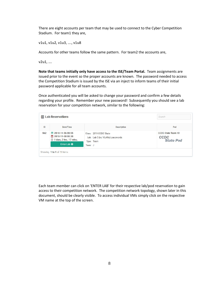There are eight accounts per team that may be used to connect to the Cyber Competition Stadium. For team1 they are,

v1u1, v1u2, v1u3, …., v1u8

Accounts for other teams follow the same pattern. For team2 the accounts are,

v2u1, ….

**Note that teams initially only have access to the ISE/Team Portal.** Team assignments are issued prior to the event so the proper accounts are known. The password needed to access the Competition Stadium is issued by the ISE via an inject to inform teams of their initial password applicable for all team accounts.

Once authenticated you will be asked to change your password and confirm a few details regarding your profile. Remember your new password! Subsequently you should see a lab reservation for your competition network, similar to the following:

| ID  | Date/Time                                                                   | <b>Description</b>                                                      | Pod                                                   |
|-----|-----------------------------------------------------------------------------|-------------------------------------------------------------------------|-------------------------------------------------------|
| 562 | 2018-11-06 08:55<br>2018-11-08 00:30<br>1 days, 3 hrs., 17 mins.<br>$\odot$ | Class: 2019 CCDC State<br>Lab: Lab 0 (no VLANs) passwords<br>Type: Team | <b>CCDC State Team 10</b><br>CCDC<br><b>State Pod</b> |
|     | Enter Lab O                                                                 | Team: J                                                                 |                                                       |

Each team member can click on 'ENTER LAB' for their respective lab/pod reservation to gain access to their competition network. The competition network topology, shown later in this document, should be clearly visible. To access individual VMs simply click on the respective VM name at the top of the screen.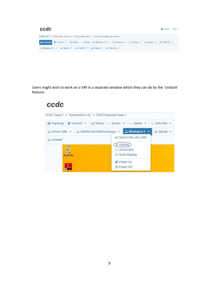| ccdc |                                                                                                                                 |  |  |  | K Home Pod ▼ |                                                                                                                  |  |                                    |  |
|------|---------------------------------------------------------------------------------------------------------------------------------|--|--|--|--------------|------------------------------------------------------------------------------------------------------------------|--|------------------------------------|--|
|      | MyNETLAB > CCDC State Team 10 > Reservation 562 > Lab 0 (no VLANs) passwords                                                    |  |  |  |              |                                                                                                                  |  |                                    |  |
|      |                                                                                                                                 |  |  |  |              | E Topology <i>B</i> Content ▼   <u>Z</u> Status > dummy   Q Windows 10 ▼   Q Phantom ▼   Q Debian ▼   Q Ubuntu ▼ |  | $\Box$ 2008 R <sub>2</sub> $\star$ |  |
|      | $\Box$ Windows 8.1 $\bullet$ $\Box$ Splunk $\bullet$ $\Box$ CentOS $\bullet$ $\Box$ Fedora $\bullet$ $\Box$ Palo Alto $\bullet$ |  |  |  |              |                                                                                                                  |  |                                    |  |

Users might wish to work on a VM in a separate window which they can do by the 'Undock' feature.

# ccdc

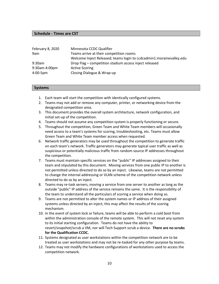#### <span id="page-9-0"></span>**Schedule - Times are CST**

| February 8, 2020     | Minnesota CCDC Qualifier                                             |
|----------------------|----------------------------------------------------------------------|
| 9am                  | Teams arrive at their competition rooms                              |
|                      | Welcome Inject Released; teams login to ccdcadmin1.morainevalley.edu |
| $9:30$ am            | Drop Flag – competition stadium access inject released               |
| 9:30am-4:00pm        | <b>Active Scoring</b>                                                |
| $4:00 - 5 \text{pm}$ | Closing Dialogue & Wrap-up                                           |

#### <span id="page-9-1"></span>**Systems**

- 1. Each team will start the competition with identically configured systems.
- 2. Teams may not add or remove any computer, printer, or networking device from the designated competition area.
- 3. This document provides the overall system architecture, network configuration, and initial set-up of the competition.
- 4. Teams should not assume any competition system is properly functioning or secure.
- 5. Throughout the competition, Green Team and White Team members will occasionally need access to a team's systems for scoring, troubleshooting, etc. Teams must allow Green Team and White Team member access when requested.
- 6. Network traffic generators may be used throughout the competition to generate traffic on each team's network. Traffic generators may generate typical user traffic as well as suspicious or potentially malicious traffic from random source IP addresses throughout the competition.
- 7. Teams must maintain specific services on the "public" IP addresses assigned to their team and stipulated by this document. Moving services from one public IP to another is not permitted unless directed to do so by an inject. Likewise, teams are not permitted to change the internal addressing or VLAN scheme of the competition network unless directed to do so by an inject.
- 8. Teams may re-task servers, moving a service from one server to another as long as the outside "public" IP address of the service remains the same. It is the responsibility of the team to understand all the particulars of scoring a service when doing so.
- 9. Teams are not permitted to alter the system names or IP address of their assigned systems unless directed by an inject; this may affect the results of the scoring mechanism.
- 10. In the event of system lock or failure, teams will be able to perform a cold boot from within the administration console of the remote system. This will not reset any system to its initial starting configuration. Teams do not have the ability to revert/snapshot/scrub a VM, nor will Tech Support scrub a device. **There are no scrubs for the Qualification CCDC.**
- 11. Systems designated as user workstations within the competition network are to be treated as user workstations and may not be re-tasked for any other purpose by teams.
- 12. Teams may not modify the hardware configurations of workstations used to access the competition network.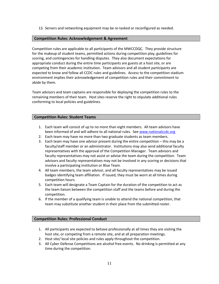13. Servers and networking equipment may be re-tasked or reconfigured as needed.

#### <span id="page-10-0"></span>**Competition Rules: Acknowledgement & Agreement**

Competition rules are applicable to all participants of the MWCCDQC. They provide structure for the makeup of student teams, permitted actions during competition play, guidelines for scoring, and contingencies for handling disputes. They also document expectations for appropriate conduct during the entire time participants are guests at a host site, or are competing from their academic institution. Team advisors and all student participants are expected to know and follow all CCDC rules and guidelines. Access to the competition stadium environment implies their acknowledgement of competition rules and their commitment to abide by them.

Team advisors and team captains are responsible for deploying the competition rules to the remaining members of their team. Host sites reserve the right to stipulate additional rules conforming to local policies and guidelines.

#### <span id="page-10-1"></span>**Competition Rules: Student Teams**

- 1. Each team will consist of up to no more than eight members. All team advisors have been informed of and will adhere to all national rules. See [www.nationalccdc.org](http://www.nationalccdc.org/)
- 2. Each team may have no more than two graduate students as team members.
- 3. Each team may have one advisor present during the entire competition this may be a faculty/staff member or an administrator. Institutions may also send additional faculty representatives with the approval of the Competition Manager. Team advisors and faculty representatives may not assist or advise the team during the competition. Team advisors and faculty representatives may not be involved in any scoring or decisions that involve a participating institution or Blue Team.
- 4. All team members, the team advisor, and all faculty representatives may be issued badges identifying team affiliation. If issued, they must be worn at all times during competition hours.
- 5. Each team will designate a Team Captain for the duration of the competition to act as the team liaison between the competition staff and the teams before and during the competition.
- 6. If the member of a qualifying team is unable to attend the national competition, that team may substitute another student in their place from the submitted roster.

#### <span id="page-10-2"></span>**Competition Rules: Professional Conduct**

- 1. All participants are expected to behave professionally at all times they are visiting the host site, or competing from a remote site, and at all preparation meetings.
- 2. Host site/ local site policies and rules apply throughout the competition.
- 3. All Cyber Defense Competitions are alcohol free events. No drinking is permitted at any time during the competition.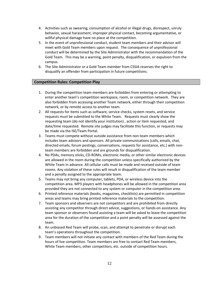- 4. Activities such as swearing, consumption of alcohol or illegal drugs, disrespect, unruly behavior, sexual harassment, improper physical contact, becoming argumentative, or willful physical damage have no place at the competition.
- 5. In the event of unprofessional conduct, student team members and their advisor will meet with Gold Team members upon request. The consequence of unprofessional conduct will be determined by the Site Administrator with the recommendation of the Gold Team. This may be a warning, point penalty, disqualification, or expulsion from the campus.
- 6. The Site Administrator or a Gold Team member from CSSIA reserves the right to disqualify an offender from participation in future competitions.

#### <span id="page-11-0"></span>**Competition Rules: Competition Play**

- 1. During the competition team members are forbidden from entering or attempting to enter another team's competition workspace, room, or competition network. They are also forbidden from accessing another Team network, either through their competition network, or by remote access to another team.
- 2. All requests for items such as software, service checks, system resets, and service requests must be submitted to the White Team. Requests must clearly show the requesting team (do not identify your institution) , action or item requested, and date/time requested. Remote site judges may facilitate this function, or requests may be made via the ISE/Team Portal.
- 3. Teams must compete without outside assistance from non-team members which includes team advisors and sponsors. All private communications (calls, emails, chat, directed emails, forum postings, conversations, requests for assistance, etc.) with nonteam members are forbidden and are grounds for disqualification.
- 4. No PDAs, memory sticks, CD-ROMs, electronic media, or other similar electronic devices are allowed in the room during the competition unless specifically authorized by the White Team in advance. All cellular calls must be made and received outside of team rooms. Any violation of these rules will result in disqualification of the team member and a penalty assigned to the appropriate team.
- 5. Teams may not bring any computer, tablets, PDA, or wireless device into the competition area. MP3 players with headphones will be allowed in the competition area provided they are not connected to any system or computer in the competition area.
- 6. Printed reference materials (books, magazines, checklists) are permitted in competition areas and teams may bring printed reference materials to the competition.
- 7. Team sponsors and observers are not competitors and are prohibited from directly assisting any competitor through direct advice, suggestions, or hands-on assistance. Any team sponsor or observers found assisting a team will be asked to leave the competition area for the duration of the competition and a point penalty will be assessed against the team.
- 8. An unbiased Red Team will probe, scan, and attempt to penetrate or disrupt each team's operations throughout the competition.
- 9. Team members will not initiate any contact with members of the Red Team during the hours of live competition. Team members are free to contact Red Team members, White Team members, other competitors, etc. outside of competition hours.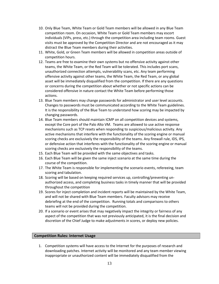- 10. Only Blue Team, White Team or Gold Team members will be allowed in any Blue Team competition room. On occasion, White Team or Gold Team members may escort individuals (VIPs, press, etc.) through the competition area including team rooms. Guest visits must be approved by the Competition Director and are not encouraged as it may distract the Blue Team members during their activities.
- 11. White, Gold, or Green Team members will be allowed in competition areas outside of competition hours.
- 12. Teams are free to examine their own systems but no offensive activity against other teams, the White Team, or the Red Team will be tolerated. This includes port scans, unauthorized connection attempts, vulnerability scans, etc. Any team performing offensive activity against other teams, the White Team, the Red Team, or any global asset will be immediately disqualified from the competition. If there are any questions or concerns during the competition about whether or not specific actions can be considered offensive in nature contact the White Team before performing those actions.
- 13. Blue Team members may change passwords for administrator and user level accounts. Changes to passwords must be communicated according to the White Team guidelines. It is the responsibility of the Blue Team to understand how scoring may be impacted by changing passwords.
- 14. Blue Team members should maintain ICMP on all competition devices and systems, except the Core port of the Palo Alto VM. Teams are allowed to use active response mechanisms such as TCP resets when responding to suspicious/malicious activity. Any active mechanisms that interfere with the functionality of the scoring engine or manual scoring checks are exclusively the responsibility of the teams. Any firewall rule, IDS, IPS, or defensive action that interferes with the functionality of the scoring engine or manual scoring checks are exclusively the responsibility of the teams.
- 15. Each Blue Team will be provided with the same objectives and tasks.
- 16. Each Blue Team will be given the same inject scenario at the same time during the course of the competition.
- 17. The White Team is responsible for implementing the scenario events, refereeing, team scoring and tabulation.
- 18. Scoring will be based on keeping required services up, controlling/preventing unauthorized access, and completing business tasks in timely manner that will be provided throughout the competition
- 19. Scores for inject completion and incident reports will be maintained by the White Team, and will not be shared with Blue Team members. Faculty advisors may receive debriefing at the end of the competition. Running totals and comparisons to others teams will not be provided during the competition.
- 20. If a scenario or event arises that may negatively impact the integrity or fairness of any aspect of the competition that was not previously anticipated, it is the final decision and discretion of the Chief Judge to make adjustments in scores, or deploy new policies.

#### <span id="page-12-0"></span>**Competition Rules: Internet Usage**

1. Competition systems will have access to the Internet for the purposes of research and downloading patches. Internet activity will be monitored and any team member viewing inappropriate or unauthorized content will be immediately disqualified from the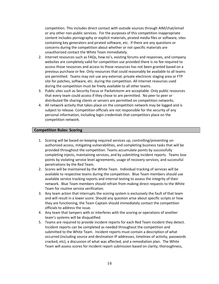competition. This includes direct contact with outside sources through AIM/chat/email or any other non-public services. For the purposes of this competition inappropriate content includes pornography or explicit materials, pirated media files or software, sites containing key generators and pirated software, etc. If there are any questions or concerns during the competition about whether or not specific materials are unauthorized contact the White Team immediately.

- 2. Internet resources such as FAQs, how-to's, existing forums and responses, and company websites are completely valid for competition use provided there is no fee required to access those resources and access to those resources has not been granted based on a previous purchase or fee. Only resources that could reasonably be available to all teams are permitted. Teams may not use any external, private electronic staging area or FTP site for patches, software, etc. during the competition. All Internet resources used during the competition must be freely available to all other teams.
- 3. Public sites such as Security Focus or Packetstorm are acceptable. Only public resources that every team could access if they chose to are permitted. No peer to peer or distributed file sharing clients or servers are permitted on competition networks.
- 4. All network activity that takes place on the competition network may be logged and is subject to release. Competition officials are not responsible for the security of any personal information, including login credentials that competitors place on the competition network.

#### <span id="page-13-0"></span>**Competition Rules: Scoring**

- 1. Scoring will be based on keeping required services up, controlling/preventing unauthorized access, mitigating vulnerabilities, and completing business tasks that will be provided throughout the competition. Teams accumulate points by successfully completing injects, maintaining services, and by submitting incident reports. Teams lose points by violating service level agreements, usage of recovery services, and successful penetrations by the Red Team.
- 2. Scores will be maintained by the White Team. Individual tracking of services will be available to respective teams during the competition. Blue Team members should use available service tracking reports and internal testing to assess the integrity of their network. Blue Team members should refrain from making direct requests to the White Team for routine service verification.
- 3. Any team action that interrupts the scoring system is exclusively the fault of that team and will result in a lower score. Should any question arise about specific scripts or how they are functioning, the Team Captain should immediately contact the competition officials to address the issue.
- 4. Any team that tampers with or interferes with the scoring or operations of another team's systems will be disqualified.
- 5. Teams are required to provide incident reports for each Red Team incident they detect. Incident reports can be completed as needed throughout the competition and submitted to the White Team. Incident reports must contain a description of what occurred (including source and destination IP addresses, timelines of activity, passwords cracked, etc), a discussion of what was affected, and a remediation plan. The White Team will assess scores for incident report submission based on clarity, thoroughness,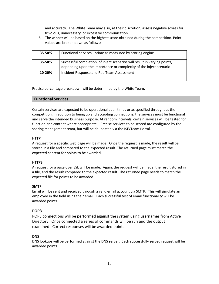and accuracy. The White Team may also, at their discretion, assess negative scores for frivolous, unnecessary, or excessive communication.

6. The winner will be based on the highest score obtained during the competition. Point values are broken down as follows:

| 35-50% | Functional services uptime as measured by scoring engine                                                                                       |
|--------|------------------------------------------------------------------------------------------------------------------------------------------------|
| 35-50% | Successful completion of inject scenarios will result in varying points,<br>depending upon the importance or complexity of the inject scenario |
| 10-20% | Incident Response and Red Team Assessment                                                                                                      |

Precise percentage breakdown will be determined by the White Team.

#### <span id="page-14-0"></span>**Functional Services**

Certain services are expected to be operational at all times or as specified throughout the competition. In addition to being up and accepting connections, the services must be functional and serve the intended business purpose. At random intervals, certain services will be tested for function and content where appropriate. Precise services to be scored are configured by the scoring management team, but will be delineated via the ISE/Team Portal.

#### **HTTP**

A request for a specific web page will be made. Once the request is made, the result will be stored in a file and compared to the expected result. The returned page must match the expected content for points to be awarded.

#### **HTTPS**

A request for a page over SSL will be made. Again, the request will be made, the result stored in a file, and the result compared to the expected result. The returned page needs to match the expected file for points to be awarded.

#### **SMTP**

Email will be sent and received through a valid email account via SMTP. This will simulate an employee in the field using their email. Each successful test of email functionality will be awarded points.

#### **POP3**

POP3 connections will be performed against the system using usernames from Active Directory. Once connected a series of commands will be run and the output examined. Correct responses will be awarded points.

#### **DNS**

DNS lookups will be performed against the DNS server. Each successfully served request will be awarded points.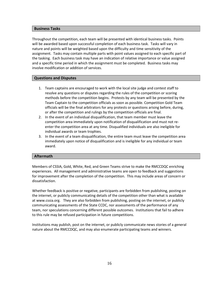#### <span id="page-15-0"></span>**Business Tasks**

Throughout the competition, each team will be presented with identical business tasks. Points will be awarded based upon successful completion of each business task. Tasks will vary in nature and points will be weighted based upon the difficulty and time sensitivity of the assignment. Tasks may contain multiple parts with point values assigned to each specific part of the tasking. Each business task may have an indication of relative importance or value assigned and a specific time period in which the assignment must be completed. Business tasks may involve modification or addition of services.

#### <span id="page-15-1"></span>**Questions and Disputes**

- 1. Team captains are encouraged to work with the local site judge and contest staff to resolve any questions or disputes regarding the rules of the competition or scoring methods before the competition begins. Protests by any team will be presented by the Team Captain to the competition officials as soon as possible. Competition Gold Team officials will be the final arbitrators for any protests or questions arising before, during, or after the competition and rulings by the competition officials are final.
- 2. In the event of an individual disqualification, that team member must leave the competition area immediately upon notification of disqualification and must not reenter the competition area at any time. Disqualified individuals are also ineligible for individual awards or team trophies.
- 3. In the event of a team disqualification, the entire team must leave the competition area immediately upon notice of disqualification and is ineligible for any individual or team award.

#### <span id="page-15-2"></span>**Aftermath**

Members of CSSIA, Gold, White, Red, and Green Teams strive to make the RMCCDQC enriching experiences. All management and administrative teams are open to feedback and suggestions for improvement after the completion of the competition. This may include areas of concern or dissatisfaction.

Whether feedback is positive or negative, participants are forbidden from publishing, posting on the internet, or publicly communicating details of the competition other than what is available at www.cssia.org. They are also forbidden from publishing, posting on the internet, or publicly communicating assessments of the State CCDC, nor assessments of the performance of any team, nor speculations concerning different possible outcomes. Institutions that fail to adhere to this rule may be refused participation in future competitions.

Institutions may publish, post on the internet, or publicly communicate news stories of a general nature about the RMCCDQC, and may also enumerate participating teams and winners.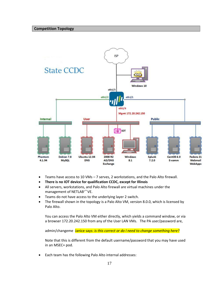<span id="page-16-0"></span>

- Teams have access to 10 VMs 7 serves, 2 workstations, and the Palo Alto firewall.
- **There is no IOT device for qualification CCDC, except for Illinois**
- All servers, workstations, and Palo Alto firewall are virtual machines under the management of NETLAB<sup>+™</sup> VE.
- Teams do not have access to the underlying layer 2 switch.
- The firewall shown in the topology is a Palo Alto VM, version 8.0.0, which is licensed by Palo Alto.

You can access the Palo Alto VM either directly, which yields a command window, or via a browser 172.20.242.150 from any of the User LAN VMs. The PA user/password are,

admin/changeme Janice says: *is this correct or do I need to change something here?*

Note that this is different from the default username/password that you may have used in an MSEC+ pod.

• Each team has the following Palo Alto internal addresses: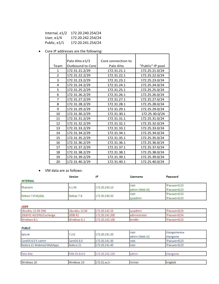| Internal, $e1/2$ | 172.20.240.254/24 |
|------------------|-------------------|
| User, $e1/4$     | 172.20.242.254/24 |
| Public, e1/1     | 172.20.241.254/24 |

• Core IP addresses are the following:

|                | Palo Alto e1/3   | Core connection to |                  |
|----------------|------------------|--------------------|------------------|
| Team           | Outbound to Core | Palo Alto          | "Public" IP pool |
| $\mathbf{1}$   | 172.31.21.2/29   | 172.31.21.1        | 172.25.21.0/24   |
| $\overline{2}$ | 172.31.22.2/29   | 172.31.22.1        | 172.25.22.0/24   |
| 3              | 172.31.23.2/29   | 172.31.23.1        | 172.25.23.0/24   |
| 4              | 172.31.24.2/29   | 172.31.24.1        | 172.25.24.0/24   |
| 5              | 172.31.25.2/29   | 172.31.25.1        | 172.25.25.0/24   |
| 6              | 172.31.26.2/29   | 172.31.26.1        | 172.25.26.0/24   |
| $\overline{7}$ | 172.31.27.2/29   | 172.31.27.1        | 172.25.27.0/24   |
| 8              | 172.31.28.2/29   | 172.31.28.1        | 172.25.28.0/24   |
| 9              | 172.31.29.2/29   | 172.31.29.1        | 172.25.29.0/24   |
| 10             | 172.31.30.2/29   | 172.31.30.1        | 172.25.30.0/24   |
| 11             | 172.31.31.2/29   | 172.31.31.1        | 172.25.31.0/24   |
| 12             | 172.31.32.2/29   | 172.31.32.1        | 172.25.32.0/24   |
| 13             | 172.31.33.2/29   | 172.31.33.1        | 172.25.33.0/24   |
| 14             | 172.31.34.2/29   | 172.31.34.1        | 172.25.34.0/24   |
| 15             | 172.31.35.2/29   | 172.31.35.1        | 172.25.35.0/24   |
| 16             | 172.31.36.2/29   | 172.31.36.1        | 172.25.36.0/24   |
| 17             | 172.31.37.2/29   | 172.31.37.1        | 172.25.37.0/24   |
| 18             | 172.31.38.2/29   | 172.31.38.1        | 172.25.38.0/24   |
| 19             | 172.31.39.2/29   | 172.31.39.1        | 172.25.39.0/24   |
| 20             | 172.31.40.2/29   | 172.31.40.1        | 172.25.40.0/24   |

• VM data are as follows:

|                  | Version    | IP            | Username               | Password                   |  |
|------------------|------------|---------------|------------------------|----------------------------|--|
| <b>INTERNAL</b>  |            |               |                        |                            |  |
| Phantom          | 4.1.94     | 172.20.240.10 | root<br>admin (Web UI) | Password123<br>Password123 |  |
|                  | Debian 7.8 |               | root                   | !Password123               |  |
| Debian 7.8 MySQL |            | 172.20.240.20 | sysadmin               | Password123                |  |

**USER** 

| Ubunbtu 12.04 DNS       | Ubunbtu 12.04       | 172.20.242.10  | sysadmin       | !Password123 |  |  |  |
|-------------------------|---------------------|----------------|----------------|--------------|--|--|--|
| 2008 R2 AD/DNS/Exchange | 2008 R <sub>2</sub> | 172.20.242.200 | ladministrator | !Password234 |  |  |  |
| Windows 8.1             | Windows 8.1         | 172.20.242.100 | binddn         | !Password123 |  |  |  |

#### **PUBLIC**

| Splunk                    | 7.2.0                 | 172.20.241.20    | root<br>admin (Web UI) | changemenow<br>changeme |
|---------------------------|-----------------------|------------------|------------------------|-------------------------|
| CentOS 6.0 E-comm         | CentOS <sub>6.0</sub> | 172.20.241.30    | root                   | !Password123            |
| Fedora 21 Webmail/WebApps | Fedora 21             | 172, 20, 241, 40 | root                   | !Password123            |
|                           |                       |                  |                        |                         |
| Palo Alto                 | <b>PAN OS 8.0.0</b>   | 172.20.242.150   | admin                  | changeme                |
| Windows 10                | Windows 10            | 172.31.xx.5      | minion                 | kingbob                 |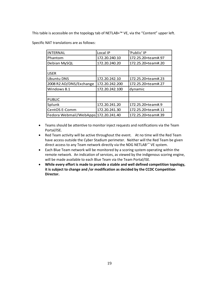This table is accessible on the topology tab of NETLAB+™ VE, via the "Content" upper left.

Specific NAT translations are as follows:

| <b>INTERNAL</b>                      | Local IP       | 'Public' IP        |
|--------------------------------------|----------------|--------------------|
| Phantom                              | 172.20.240.10  | 172.25.20+team#.97 |
| Debian MySQL                         | 172.20.240.20  | 172.25.20+team#.20 |
|                                      |                |                    |
| <b>USER</b>                          |                |                    |
| <b>Ubuntu DNS</b>                    | 172.20.242.10  | 172.25.20+team#.23 |
| 2008 R2 AD/DNS/Exchange              | 172.20.242.200 | 172.25.20+team#.27 |
| Windows 8.1                          | 172.20.242.100 | dynamic            |
|                                      |                |                    |
| <b>PUBLIC</b>                        |                |                    |
| Splunk                               | 172.20.241.20  | 172.25.20+team#.9  |
| CentOS E-Comm                        | 172.20.241.30  | 172.25.20+team#.11 |
| Fedora Webmail/WebApps 172.20.241.40 |                | 172.25.20+team#.39 |

- Teams should be attentive to monitor inject requests and notifications via the Team Portal/ISE.
- Red Team activity will be active throughout the event. At no time will the Red Team have access outside the Cyber Stadium perimeter. Neither will the Red Team be given direct access to any Team network directly via the NDG NETLAB+™ VE system.
- Each Blue Team network will be monitored by a scoring system operating within the remote network. An indication of services, as viewed by the indigenous scoring engine, will be made available to each Blue Team via the Team Portal/ISE.
- **While every effort is made to provide a stable and well defined competition topology, it is subject to change and /or modification as decided by the CCDC Competition Director.**